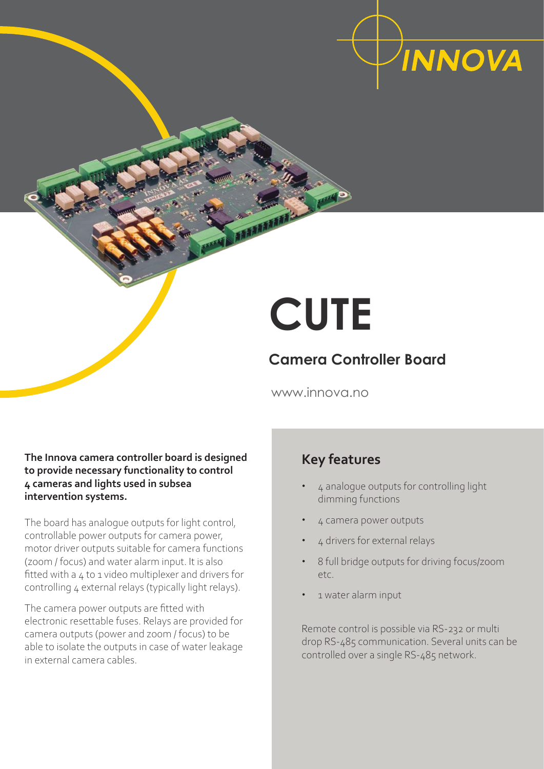

# **CUTE**

## **Camera Controller Board**

www.innova.no

### **The Innova camera controller board is designed to provide necessary functionality to control 4 cameras and lights used in subsea intervention systems.**

The board has analogue outputs for light control, controllable power outputs for camera power, motor driver outputs suitable for camera functions (zoom / focus) and water alarm input. It is also fitted with a 4 to 1 video multiplexer and drivers for controlling 4 external relays (typically light relays).

The camera power outputs are fitted with electronic resettable fuses. Relays are provided for camera outputs (power and zoom / focus) to be able to isolate the outputs in case of water leakage in external camera cables.

## **Key features**

- **•** 4 analogue outputs for controlling light dimming functions
- **•** 4 camera power outputs
- **•** 4 drivers for external relays
- **•** 8 full bridge outputs for driving focus/zoom etc.
- **•** 1 water alarm input

Remote control is possible via RS-232 or multi drop RS-485 communication. Several units can be controlled over a single RS-485 network.